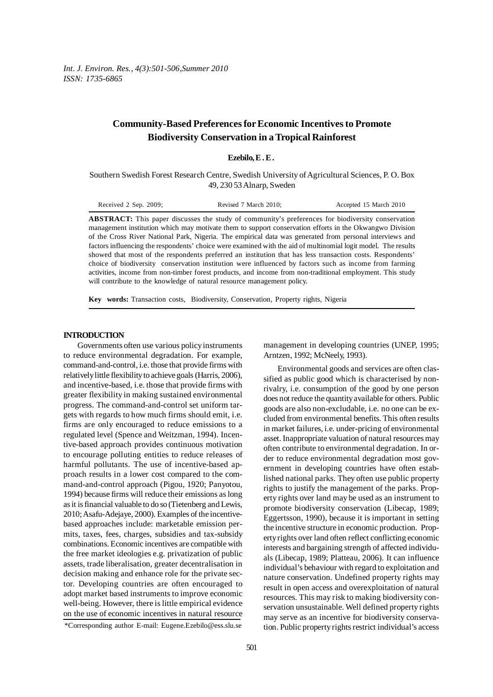*Int. J. Environ. Res., 4(3):501-506,Summer 2010 ISSN: 1735-6865*

# **Community-Based Preferences for Economic Incentives to Promote Biodiversity Conservation in a Tropical Rainforest**

### **Ezebilo, E . E .**

Southern Swedish Forest Research Centre, Swedish University of Agricultural Sciences, P. O. Box 49, 230 53 Alnarp, Sweden

| Received $2$ Sep. $2009$ ; | Revised 7 March 2010:                                                                                    | Accepted 15 March 2010 |
|----------------------------|----------------------------------------------------------------------------------------------------------|------------------------|
|                            | <b>ABSTRACT:</b> This paper discusses the study of community's preferences for biodiversity conservation |                        |
|                            | management institution which may motivate them to sunnort conservation efforts in the Okwangwo Division  |                        |

management institution which may motivate them to support conservation efforts in the Okwangwo Division of the Cross River National Park, Nigeria. The empirical data was generated from personal interviews and factors influencing the respondents' choice were examined with the aid of multinomial logit model. The results showed that most of the respondents preferred an institution that has less transaction costs. Respondents' choice of biodiversity conservation institution were influenced by factors such as income from farming activities, income from non-timber forest products, and income from non-traditional employment. This study will contribute to the knowledge of natural resource management policy.

**Key words:** Transaction costs, Biodiversity, Conservation, Property rights, Nigeria

### **INTRODUCTION**

Governments often use various policy instruments to reduce environmental degradation. For example, command-and-control, i.e. those that provide firms with relatively little flexibility to achieve goals (Harris, 2006), and incentive-based, i.e. those that provide firms with greater flexibility in making sustained environmental progress. The command-and-control set uniform targets with regards to how much firms should emit, i.e. firms are only encouraged to reduce emissions to a regulated level (Spence and Weitzman, 1994). Incentive-based approach provides continuous motivation to encourage polluting entities to reduce releases of harmful pollutants. The use of incentive-based approach results in a lower cost compared to the command-and-control approach (Pigou, 1920; Panyotou, 1994) because firms will reduce their emissions as long as it is financial valuable to do so (Tietenberg and Lewis, 2010; Asafu-Adejaye, 2000). Examples of the incentivebased approaches include: marketable emission permits, taxes, fees, charges, subsidies and tax-subsidy combinations. Economic incentives are compatible with the free market ideologies e.g. privatization of public assets, trade liberalisation, greater decentralisation in decision making and enhance role for the private sector. Developing countries are often encouraged to adopt market based instruments to improve economic well-being. However, there is little empirical evidence on the use of economic incentives in natural resource management in developing countries (UNEP, 1995; Arntzen, 1992; McNeely, 1993).

Environmental goods and services are often classified as public good which is characterised by nonrivalry, i.e. consumption of the good by one person does not reduce the quantity available for others. Public goods are also non-excludable, i.e. no one can be excluded from environmental benefits. This often results in market failures, i.e. under-pricing of environmental asset. Inappropriate valuation of natural resources may often contribute to environmental degradation. In order to reduce environmental degradation most government in developing countries have often established national parks. They often use public property rights to justify the management of the parks. Property rights over land may be used as an instrument to promote biodiversity conservation (Libecap, 1989; Eggertsson, 1990), because it is important in setting the incentive structure in economic production. Property rights over land often reflect conflicting economic interests and bargaining strength of affected individuals (Libecap, 1989; Platteau, 2006). It can influence individual's behaviour with regard to exploitation and nature conservation. Undefined property rights may result in open access and overexploitation of natural resources. This may risk to making biodiversity conservation unsustainable. Well defined property rights may serve as an incentive for biodiversity conservation. Public property rights restrict individual's access

<sup>\*</sup>Corresponding author E-mail: Eugene.Ezebilo@ess.slu.se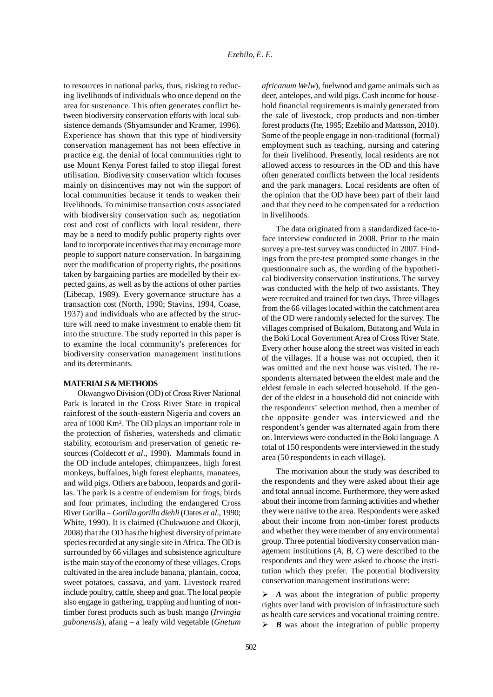to resources in national parks, thus, risking to reducing livelihoods of individuals who once depend on the area for sustenance. This often generates conflict between biodiversity conservation efforts with local subsistence demands (Shyamsunder and Kramer, 1996). Experience has shown that this type of biodiversity conservation management has not been effective in practice e.g. the denial of local communities right to use Mount Kenya Forest failed to stop illegal forest utilisation. Biodiversity conservation which focuses mainly on disincentives may not win the support of local communities because it tends to weaken their livelihoods. To minimise transaction costs associated with biodiversity conservation such as, negotiation cost and cost of conflicts with local resident, there may be a need to modify public property rights over land to incorporate incentives that may encourage more people to support nature conservation. In bargaining over the modification of property rights, the positions taken by bargaining parties are modelled by their expected gains, as well as by the actions of other parties (Libecap, 1989). Every governance structure has a transaction cost (North, 1990; Stavins, 1994, Coase, 1937) and individuals who are affected by the structure will need to make investment to enable them fit into the structure. The study reported in this paper is to examine the local community's preferences for biodiversity conservation management institutions and its determinants.

### **MATERIALS & METHODS**

Okwangwo Division (OD) of Cross River National Park is located in the Cross River State in tropical rainforest of the south-eastern Nigeria and covers an area of 1000 Km². The OD plays an important role in the protection of fisheries, watersheds and climatic stability, ecotourism and preservation of genetic resources (Coldecott *et al*., 1990). Mammals found in the OD include antelopes, chimpanzees, high forest monkeys, buffaloes, high forest elephants, manatees, and wild pigs. Others are baboon, leopards and gorillas. The park is a centre of endemism for frogs, birds and four primates, including the endangered Cross River Gorilla – *Gorilla gorilla diehli* (Oates *et al*., 1990; White, 1990). It is claimed (Chukwuone and Okorji, 2008) that the OD has the highest diversity of primate species recorded at any single site in Africa. The OD is surrounded by 66 villages and subsistence agriculture is the main stay of the economy of these villages. Crops cultivated in the area include banana, plantain, cocoa, sweet potatoes, cassava, and yam. Livestock reared include poultry, cattle, sheep and goat. The local people also engage in gathering, trapping and hunting of nontimber forest products such as bush mango (*Irvingia gabonensis*), afang – a leafy wild vegetable (*Gnetum* *africanum Welw*), fuelwood and game animals such as deer, antelopes, and wild pigs. Cash income for household financial requirements is mainly generated from the sale of livestock, crop products and non-timber forest products (Ite, 1995; Ezebilo and Mattsson, 2010). Some of the people engage in non-traditional (formal) employment such as teaching, nursing and catering for their livelihood. Presently, local residents are not allowed access to resources in the OD and this have often generated conflicts between the local residents and the park managers. Local residents are often of the opinion that the OD have been part of their land and that they need to be compensated for a reduction in livelihoods.

The data originated from a standardized face-toface interview conducted in 2008. Prior to the main survey a pre-test survey was conducted in 2007. Findings from the pre-test prompted some changes in the questionnaire such as, the wording of the hypothetical biodiversity conservation institutions. The survey was conducted with the help of two assistants. They were recruited and trained for two days. Three villages from the 66 villages located within the catchment area of the OD were randomly selected for the survey. The villages comprised of Bukalom, Butatong and Wula in the Boki Local Government Area of Cross River State. Every other house along the street was visited in each of the villages. If a house was not occupied, then it was omitted and the next house was visited. The respondents alternated between the eldest male and the eldest female in each selected household. If the gender of the eldest in a household did not coincide with the respondents' selection method, then a member of the opposite gender was interviewed and the respondent's gender was alternated again from there on. Interviews were conducted in the Boki language. A total of 150 respondents were interviewed in the study area (50 respondents in each village).

The motivation about the study was described to the respondents and they were asked about their age and total annual income. Furthermore, they were asked about their income from farming activities and whether they were native to the area. Respondents were asked about their income from non-timber forest products and whether they were member of any environmental group. Three potential biodiversity conservation management institutions (*A*, *B*, *C*) were described to the respondents and they were asked to choose the institution which they prefer. The potential biodiversity conservation management institutions were:

 $\triangleright$  *A* was about the integration of public property rights over land with provision of infrastructure such as health care services and vocational training centre.  $\triangleright$  *B* was about the integration of public property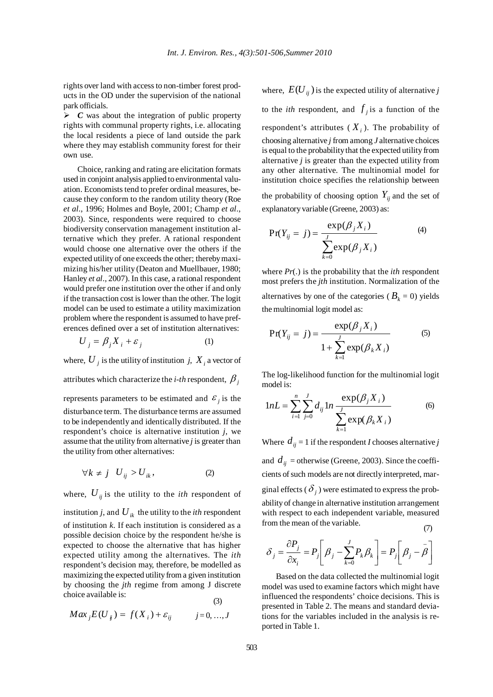rights over land with access to non-timber forest products in the OD under the supervision of the national park officials.

 $\triangleright$  *C* was about the integration of public property rights with communal property rights, i.e. allocating the local residents a piece of land outside the park where they may establish community forest for their own use.

Choice, ranking and rating are elicitation formats used in conjoint analysis applied to environmental valuation. Economists tend to prefer ordinal measures, because they conform to the random utility theory (Roe *et al*., 1996; Holmes and Boyle, 2001; Champ *et al*., 2003). Since, respondents were required to choose biodiversity conservation management institution alternative which they prefer. A rational respondent would choose one alternative over the others if the expected utility of one exceeds the other; thereby maximizing his/her utility (Deaton and Muellbauer, 1980; Hanley *et al*., 2007). In this case, a rational respondent would prefer one institution over the other if and only if the transaction cost is lower than the other. The logit model can be used to estimate a utility maximization problem where the respondent is assumed to have preferences defined over a set of institution alternatives:

$$
U_j = \beta_j X_i + \varepsilon_j \tag{1}
$$

where,  $U_i$  is the utility of institution *j*,  $X_i$  a vector of attributes which characterize the *i-th* respondent,  $\beta$ <sub>*j*</sub> represents parameters to be estimated and  $\varepsilon$  is the disturbance term. The disturbance terms are assumed to be independently and identically distributed. If the respondent's choice is alternative institution *j*, we assume that the utility from alternative *j* is greater than the utility from other alternatives:

$$
\forall k \neq j \quad U_{ij} > U_{ik}, \tag{2}
$$

where,  $U_{ij}$  is the utility to the *ith* respondent of

institution *j*, and  $U_{ik}$  the utility to the *ith* respondent of institution *k*. If each institution is considered as a possible decision choice by the respondent he/she is expected to choose the alternative that has higher expected utility among the alternatives. The *ith* respondent's decision may, therefore, be modelled as maximizing the expected utility from a given institution by choosing the *jth* regime from among J discrete choice available is: (3)

$$
Max_j E(U_{ij}) = f(X_i) + \varepsilon_{ij} \qquad j = 0, ..., J
$$

where,  $E(U_{ii})$  is the expected utility of alternative *j* to the *ith* respondent, and  $f_i$  is a function of the respondent's attributes  $(X_i)$ . The probability of choosing alternative *j* from among *J* alternative choices is equal to the probability that the expected utility from alternative *j* is greater than the expected utility from any other alternative. The multinomial model for institution choice specifies the relationship between the probability of choosing option  $Y_{ii}$  and the set of

explanatory variable (Greene, 2003) as:

$$
Pr(Y_{ij} = j) = \frac{\exp(\beta_j X_i)}{\sum_{k=0}^{j} \exp(\beta_j X_i)}
$$
(4)

where *Pr*(.) is the probability that the *ith* respondent most prefers the *jth* institution. Normalization of the alternatives by one of the categories ( $B_k = 0$ ) yields the multinomial logit model as:

$$
Pr(Y_{ij} = j) = \frac{\exp(\beta_j X_i)}{1 + \sum_{k=1}^{j} \exp(\beta_k X_i)}
$$
(5)

The log-likelihood function for the multinomial logit model is:

$$
1 nL = \sum_{i=1}^{n} \sum_{j=0}^{J} d_{ij} 1 n \frac{\exp(\beta_j X_i)}{\sum_{k=1}^{J} \exp(\beta_k X_i)}
$$
(6)

Where  $d_{ij} = 1$  if the respondent *I* chooses alternative *j* 

and  $d_{ij}$  = otherwise (Greene, 2003). Since the coefficients of such models are not directly interpreted, marginal effects ( $\delta$ <sub>i</sub>) were estimated to express the probability of change in alternative institution arrangement with respect to each independent variable, measured from the mean of the variable. (7)

$$
\delta_j = \frac{\partial P_j}{\partial x_i} = P_j \left[ \beta_j - \sum_{k=0}^J P_k \beta_k \right] = P_j \left[ \beta_j - \overline{\beta} \right]
$$

Based on the data collected the multinomial logit model was used to examine factors which might have influenced the respondents' choice decisions. This is presented in Table 2. The means and standard deviations for the variables included in the analysis is reported in Table 1.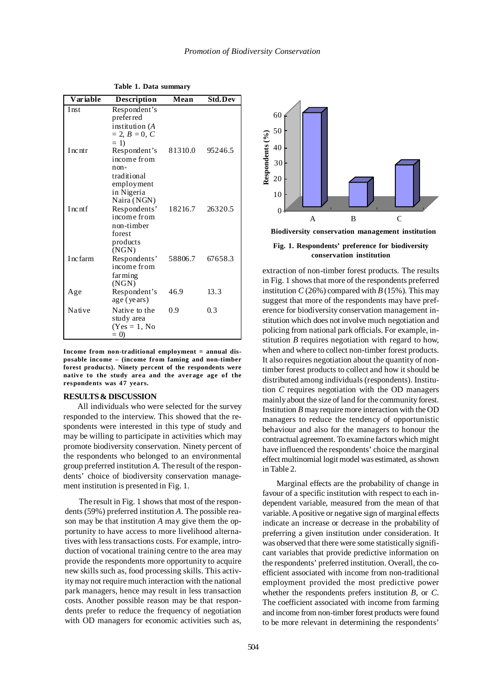| Variable  | <b>Description</b>                                                                              | Mean    | <b>Std.Dev</b> |
|-----------|-------------------------------------------------------------------------------------------------|---------|----------------|
| Inst      | Respondent's<br>preferred<br>institution (A<br>$= 2, B = 0, C$<br>$= 1$                         |         |                |
| Incntr    | Respondent's<br>income from<br>$non-$<br>traditional<br>employment<br>in Nigeria<br>Naira (NGN) | 81310.0 | 95246.5        |
| Incntf    | Respondents'<br>income from<br>non-timber<br>forest<br>products<br>(NGN)                        | 18216.7 | 26320.5        |
| I nc farm | Respondents'<br>income from<br>farming<br>(NGN)                                                 | 58806.7 | 67658.3        |
| Age       | Respondent's<br>age (years)                                                                     | 46.9    | 13.3           |
| Native    | Native to the<br>study area<br>$(Yes = 1, No)$<br>$= 0$                                         | 0.9     | 0.3            |

**Table 1. Data summary**

**Income from non-traditional employment = annual disposable income – (income from faming and non-timber forest products). Ninety percent of the respondents were native to the study area and the average age of the respondents was 47 years.**

#### **RESULTS & DISCUSSION**

All individuals who were selected for the survey responded to the interview. This showed that the respondents were interested in this type of study and may be willing to participate in activities which may promote biodiversity conservation. Ninety percent of the respondents who belonged to an environmental group preferred institution *A*. The result of the respondents' choice of biodiversity conservation management institution is presented in Fig. 1.

The result in Fig. 1 shows that most of the respondents (59%) preferred institution *A*. The possible reason may be that institution *A* may give them the opportunity to have access to more livelihood alternatives with less transactions costs. For example, introduction of vocational training centre to the area may provide the respondents more opportunity to acquire new skills such as, food processing skills. This activity may not require much interaction with the national park managers, hence may result in less transaction costs. Another possible reason may be that respondents prefer to reduce the frequency of negotiation with OD managers for economic activities such as,



**Fig. 1. Respondents' preference for biodiversity conservation institution**

extraction of non-timber forest products. The results in Fig. 1 shows that more of the respondents preferred institution  $C(26%)$  compared with  $B(15%)$ . This may suggest that more of the respondents may have preference for biodiversity conservation management institution which does not involve much negotiation and policing from national park officials. For example, institution *B* requires negotiation with regard to how, when and where to collect non-timber forest products. It also requires negotiation about the quantity of nontimber forest products to collect and how it should be distributed among individuals (respondents). Institution *C* requires negotiation with the OD managers mainly about the size of land for the community forest. Institution *B* may require more interaction with the OD managers to reduce the tendency of opportunistic behaviour and also for the managers to honour the contractual agreement. To examine factors which might have influenced the respondents' choice the marginal effect multinomial logit model was estimated, as shown in Table 2.

Marginal effects are the probability of change in favour of a specific institution with respect to each independent variable, measured from the mean of that variable. A positive or negative sign of marginal effects indicate an increase or decrease in the probability of preferring a given institution under consideration. It was observed that there were some statistically significant variables that provide predictive information on the respondents' preferred institution. Overall, the coefficient associated with income from non-traditional employment provided the most predictive power whether the respondents prefers institution *B*, or *C*. The coefficient associated with income from farming and income from non-timber forest products were found to be more relevant in determining the respondents'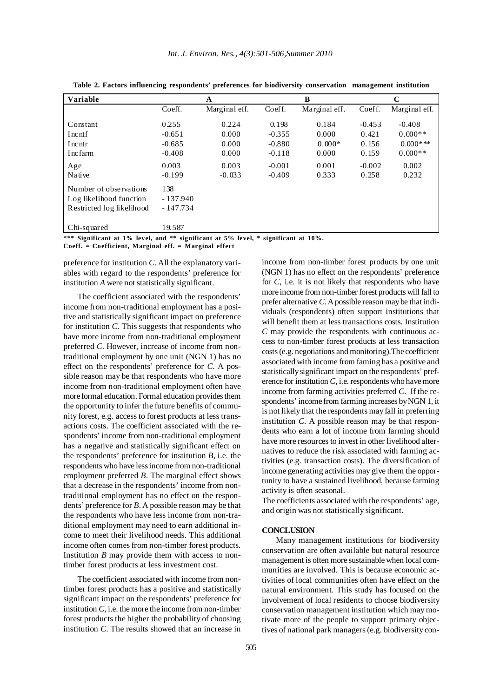| <b>Variable</b>                                                                |                                                    | A                                         |                                                       | B                                            |                                                 | C                                                          |
|--------------------------------------------------------------------------------|----------------------------------------------------|-------------------------------------------|-------------------------------------------------------|----------------------------------------------|-------------------------------------------------|------------------------------------------------------------|
|                                                                                | Coeff.                                             | Marginal eff.                             | Coeff.                                                | Marginal eff.                                | Coeff.                                          | Marginal eff.                                              |
| Constant<br>I nc nt f<br>Incntr<br>I nc farm<br>Age                            | 0.255<br>$-0.651$<br>$-0.685$<br>$-0.408$<br>0.003 | 0.224<br>0.000<br>0.000<br>0.000<br>0.003 | 0.198<br>$-0.355$<br>$-0.880$<br>$-0.118$<br>$-0.001$ | 0.184<br>0.000<br>$0.000*$<br>0.000<br>0.001 | $-0.453$<br>0.421<br>0.156<br>0.159<br>$-0.002$ | $-0.408$<br>$0.000**$<br>$0.000$ ***<br>$0.000**$<br>0.002 |
| Native                                                                         | $-0.199$                                           | $-0.033$                                  | $-0.409$                                              | 0.333                                        | 0.258                                           | 0.232                                                      |
| Number of observations<br>Log likelihood function<br>Restricted log likelihood | 138<br>$-137.940$<br>$-147.734$                    |                                           |                                                       |                                              |                                                 |                                                            |
| Chi-squared                                                                    | 19.587                                             |                                           |                                                       |                                              |                                                 |                                                            |

**Table 2. Factors influencing respondents' preferences for biodiversity conservation management institution**

**\*\*\* Significant at 1% level, and \*\* significant at 5% level, \* significant at 10%.**

**Coeff. = Coefficient, Marginal eff. = Marginal effect**

preference for institution *C*. All the explanatory variables with regard to the respondents' preference for institution *A* were not statistically significant.

The coefficient associated with the respondents' income from non-traditional employment has a positive and statistically significant impact on preference for institution *C*. This suggests that respondents who have more income from non-traditional employment preferred *C*. However, increase of income from nontraditional employment by one unit (NGN 1) has no effect on the respondents' preference for *C*. A possible reason may be that respondents who have more income from non-traditional employment often have more formal education. Formal education provides them the opportunity to infer the future benefits of community forest, e.g. access to forest products at less transactions costs. The coefficient associated with the respondents' income from non-traditional employment has a negative and statistically significant effect on the respondents' preference for institution *B*, i.e. the respondents who have less income from non-traditional employment preferred *B*. The marginal effect shows that a decrease in the respondents' income from nontraditional employment has no effect on the respondents' preference for *B*. A possible reason may be that the respondents who have less income from non-traditional employment may need to earn additional income to meet their livelihood needs. This additional income often comes from non-timber forest products. Institution *B* may provide them with access to nontimber forest products at less investment cost.

The coefficient associated with income from nontimber forest products has a positive and statistically significant impact on the respondents' preference for institution *C*, i.e. the more the income from non-timber forest products the higher the probability of choosing institution *C*. The results showed that an increase in

income from non-timber forest products by one unit (NGN 1) has no effect on the respondents' preference for *C*, i.e. it is not likely that respondents who have more income from non-timber forest products will fall to prefer alternative *C*. A possible reason may be that individuals (respondents) often support institutions that will benefit them at less transactions costs. Institution *C* may provide the respondents with continuous access to non-timber forest products at less transaction costs (e.g. negotiations and monitoring).The coefficient associated with income from faming has a positive and statistically significant impact on the respondents' preference for institution *C*, i.e. respondents who have more income from farming activities preferred *C*. If the respondents' income from farming increases by NGN 1, it is not likely that the respondents may fall in preferring institution *C*. A possible reason may be that respondents who earn a lot of income from farming should have more resources to invest in other livelihood alternatives to reduce the risk associated with farming activities (e.g. transaction costs). The diversification of income generating activities may give them the opportunity to have a sustained livelihood, because farming activity is often seasonal.

The coefficients associated with the respondents' age, and origin was not statistically significant.

## **CONCLUSION**

Many management institutions for biodiversity conservation are often available but natural resource management is often more sustainable when local communities are involved. This is because economic activities of local communities often have effect on the natural environment. This study has focused on the involvement of local residents to choose biodiversity conservation management institution which may motivate more of the people to support primary objectives of national park managers (e.g. biodiversity con-